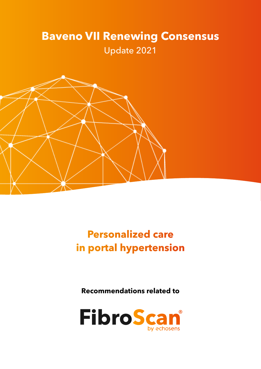# **Baveno VII Renewing Consensus**  Update 2021



**Personalized care in portal hypertension** 

**Recommendations related to** 

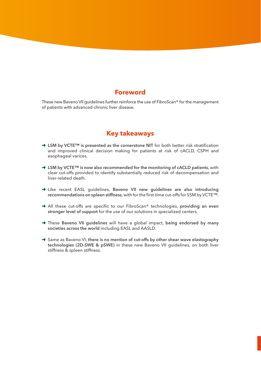### **Foreword**

These new Baveno VII guidelines further reinforce the use of FibroScan® for the management of patients with advanced chronic liver disease.

### **Key takeaways**

- → LSM by VCTE<sup>™</sup> is presented as the cornerstone NIT for both better risk stratification and improved clinical decision making for patients at risk of cACLD, CSPH and esophageal varices.
- → LSM by VCTE<sup>™</sup> is now also recommended for the monitoring of cACLD patients, with clear cut-offs provided to identify substantially reduced risk of decompensation and liver-related death.
- ➜ Like recent EASL guidelines, **Baveno VII new guidelines are also introducing recommendations on spleen stiffness**, with for the first-time cut-offs for SSM by VCTE™.
- ➜ All these cut-offs are specific to our FibroScan® technologies, **providing an even stronger level of support** for the use of our solutions in specialized centers.
- ➜ These **Baveno VII guidelines** will have a global impact, **being endorsed by many societies across the world** including EASL and AASLD.
- ➜ Same as Baveno VI, **there is no mention of cut-offs by other shear wave elastography technologies (2D-SWE & pSWE)** in these new Baveno VII guidelines, on both liver stiffness & spleen stiffness.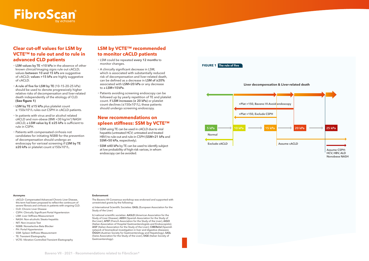

## **Clear cut-off values for LSM by VCTE™ to rule out and to rule in advanced CLD patients**

- **LSM values by TE <10 kPa** in the absence of other known clinical/imaging signs rule out cACLD; values between 10 and 15 kPa are suggestive of cACLD; **values >15 kPa** are highly suggestive of cACLD.
- **A rule of five for LSM by TE** (10-15-20-25 kPa) should be used to denote progressively higher relative risks of decompensation and liver-related death independently of the etiology of CLD. **(See figure 1)**
- **LSM by TE ≤15 kPa** plus platelet count ≥ 150x109/L rules out CSPH in cACLD patients.
- In patients with virus and/or alcohol related cACLD and non-obese (BMI <30 kg/m2) NASH cACLD, a **LSM value by E ≥25 kPa** is sufficient to rule in CSPH.
- Patients with compensated cirrhosis not candidates for initiating NSBB for the prevention of decompensation should undergo an endoscopy for variceal screening if **LSM by TE ≥20 kPa** or platelet count ≤150x109/L.

# **LSM by VCTE™ recommended to monitor cACLD patients**

- LSM could be repeated **every 12 months** to monitor changes.
- A clinically significant decrease in LSM, which is associated with substantially reduced risk of decompensation and liver-related death, can be defined as a decrease in **LSM of ≥20%** associated with **LSM<20 kPa** or any decrease to a **LSM<10kPa**.
- Patients avoiding screening endoscopy can be followed up by yearly repetition of TE and platelet count. If **LSM increases (≥ 20 kPa)** or platelet count declines (≤150x109/L), these patients should undergo screening endoscopy.

### **New recommendations on spleen stiffness: SSM by VCTE™**

- SSM using TE can be used in cACLD due to viral hepatitis (untreated HCV; untreated and treated HBV) to rule-out and rule-in CSPH (**SSM<21 kPa** and **SSM>50 kPa**, respectively).
- **SSM ≤40 kPa** by TE can be used to identify subject at low probability of high-risk varices, in whom endoscopy can be avoided.



#### **Acronyms**

- cACLD: Compensated Advanced Chronic Liver Disease, this term had been proposed to reflect the continuum of severe fibrosis and cirrhosis in patients with ongoing CLD.
- CLD: Chronic Liver Disease
- CSPH: Clinically Significant Portal Hypertension
- LSM: Liver Stiffness Measurement
- NASH: Non-alcoholic Steato-hepatitis
- NIT: Non-invasive Test
- NSBB: Nonselective Beta Blocker
- PH: Portal Hypertension
- SSM: Spleen Stiffness Measurement
- TE: Transient Elastography
- VCTE: Vibration Controlled Transient Elastography

#### **Endorsement**

The Baveno VII Consensus workshop was endorsed and supported with unrestricted grants by the following:

a) International Scientific Societies: **EASL** (European Association for the Study of the Liver)

b) national scientific societies: **AASLD** (American Association for the Study of Liver Disease); **AEEH** (Spanish Association for the Study of the Liver), **AFEF** (French Association for the Study of the Liver), **AIGO** (Italian Association of Hospital Gastroenterologists and Endoscopists); **AISF** (Italian Association for the Study of the Liver); **CIBERehd** (Spanish network of biomedical investigation in liver and digestive diseases), **ÖGGH** (Austrian Society for Gastroenterology and Hepatology), **SASL** (Swiss Association for the Study of the Liver), **SIGE** (Italian Society of Gastroenterology).

#### **Liver decompensation & Liver-related death**